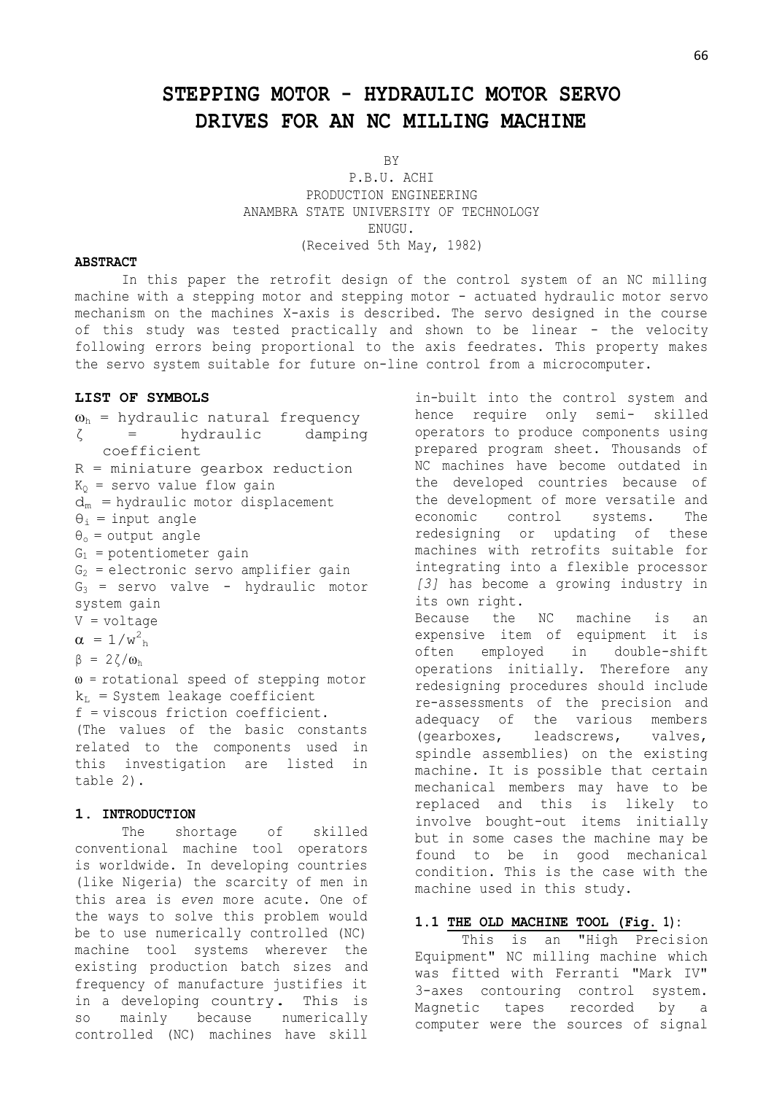# **STEPPING MOTOR - HYDRAULIC MOTOR SERVO DRIVES FOR AN NC MILLING MACHINE**

BY

P.B.U. ACHI PRODUCTION ENGINEERING ANAMBRA STATE UNIVERSITY OF TECHNOLOGY ENUGU. (Received 5th May, 1982)

#### **ABSTRACT**

In this paper the retrofit design of the control system of an NC milling machine with a stepping motor and stepping motor - actuated hydraulic motor servo mechanism on the machines X-axis is described. The servo designed in the course of this study was tested practically and shown to be linear - the velocity following errors being proportional to the axis feedrates. This property makes the servo system suitable for future on-line control from a microcomputer.

## **LIST OF SYMBOLS**

 $\omega_{h}$  = hydraulic natural frequency ζ = hydraulic damping coefficient R = miniature gearbox reduction  $K_0$  = servo value flow gain  $d_m$  = hydraulic motor displacement  $\theta_i$  = input angle  $\theta_0$  = output angle  $G_1$  = potentiometer gain  $G_2$  = electronic servo amplifier gain  $G_3$  = servo valve - hydraulic motor system gain V = voltage  $\alpha = 1/w_{\text{h}}^2$  $β = 2ζ/ω<sub>h</sub>$  $\omega$  = rotational speed of stepping motor  $k_L$  = System leakage coefficient f = viscous friction coefficient. (The values of the basic constants related to the components used in this investigation are listed in table 2).

## **1. INTRODUCTION**

The shortage of skilled conventional machine tool operators is worldwide. In developing countries (like Nigeria) the scarcity of men in this area is *even* more acute. One of the ways to solve this problem would be to use numerically controlled (NC) machine tool systems wherever the existing production batch sizes and frequency of manufacture justifies it in <sup>a</sup> developing country. This is so mainly because numerically controlled (NC) machines have skill

in-built into the control system and hence require only semi- skilled operators to produce components using prepared program sheet. Thousands of NC machines have become outdated in the developed countries because of the development of more versatile and economic control systems. The redesigning or updating of these machines with retrofits suitable for integrating into a flexible processor *[3]* has become a growing industry in its own right. Because the NC machine is an expensive item of equipment it is often employed in double-shift operations initially. Therefore any redesigning procedures should include re-assessments of the precision and adequacy of the various members (gearboxes, leadscrews, valves, spindle assemblies) on the existing machine. It is possible that certain mechanical members may have to be replaced and this is likely to involve bought-out items initially but in some cases the machine may be found to be in good mechanical condition. This is the case with the machine used in this study.

#### **1.1 THE OLD MACHINE TOOL (Fig. 1):**

This is an "High Precision Equipment" NC milling machine which was fitted with Ferranti "Mark IV" 3-axes contouring control system. Magnetic tapes recorded by a computer were the sources of signal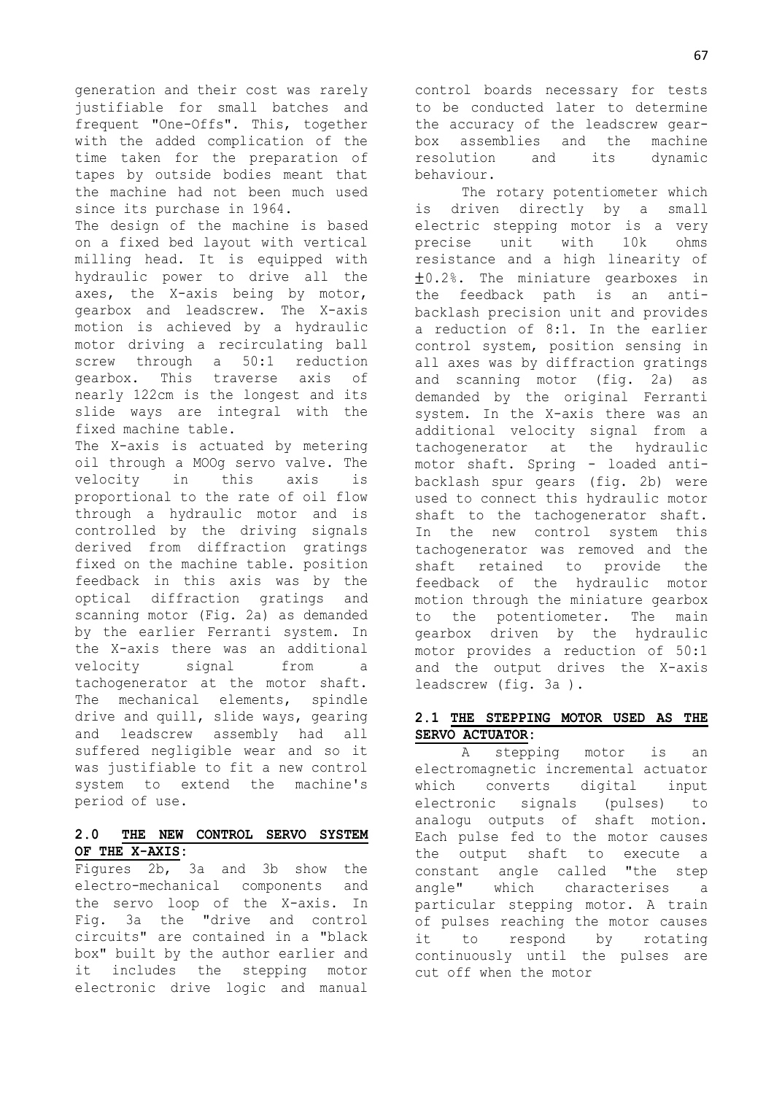generation and their cost was rarely justifiable for small batches and frequent "One-Offs". This, together with the added complication of the time taken for the preparation of tapes by outside bodies meant that the machine had not been much used since its purchase in 1964.

The design of the machine is based on a fixed bed layout with vertical milling head. It is equipped with hydraulic power to drive all the axes, the X-axis being by motor, gearbox and leadscrew. The X-axis motion is achieved by a hydraulic motor driving a recirculating ball screw through a 50:1 reduction gearbox. This traverse axis of nearly 122cm is the longest and its slide ways are integral with the fixed machine table.

The X-axis is actuated by metering oil through a MOOg servo valve. The velocity in this axis is proportional to the rate of oil flow through a hydraulic motor and is controlled by the driving signals derived from diffraction gratings fixed on the machine table. position feedback in this axis was by the optical diffraction gratings and scanning motor (Fig. 2a) as demanded by the earlier Ferranti system. In the X-axis there was an additional velocity signal from a tachogenerator at the motor shaft. The mechanical elements, spindle drive and quill, slide ways, gearing and leadscrew assembly had all suffered negligible wear and so it was justifiable to fit a new control system to extend the machine's period of use.

# **2.0 THE NEW CONTROL SERVO SYSTEM OF THE X-AXIS:**

Figures 2b, 3a and 3b show the electro-mechanical components and the servo loop of the X-axis. In Fig. 3a the "drive and control circuits" are contained in a "black box" built by the author earlier and it includes the stepping motor electronic drive logic and manual

control boards necessary for tests to be conducted later to determine the accuracy of the leadscrew gearbox assemblies and the machine resolution and its dynamic behaviour.

The rotary potentiometer which is driven directly by a small electric stepping motor is a very precise unit with 10k ohms resistance and a high linearity of  $\pm$ 0.2%. The miniature gearboxes in the feedback path is an antibacklash precision unit and provides a reduction of 8:1. In the earlier control system, position sensing in all axes was by diffraction gratings and scanning motor (fig. 2a) as demanded by the original Ferranti system. In the X-axis there was an additional velocity signal from a tachogenerator at the hydraulic motor shaft. Spring - loaded antibacklash spur gears (fig. 2b) were used to connect this hydraulic motor shaft to the tachogenerator shaft. In the new control system this tachogenerator was removed and the shaft retained to provide the feedback of the hydraulic motor motion through the miniature gearbox to the potentiometer. The main gearbox driven by the hydraulic motor provides a reduction of 50:1 and the output drives the X-axis leadscrew (fig. 3a ).

## **2.1 THE STEPPING MOTOR USED AS THE SERVO ACTUATOR:**

A stepping motor is an electromagnetic incremental actuator which converts digital input electronic signals (pulses) to analogu outputs of shaft motion. Each pulse fed to the motor causes the output shaft to execute a constant angle called "the step angle" which characterises a particular stepping motor. A train of pulses reaching the motor causes it to respond by rotating continuously until the pulses are cut off when the motor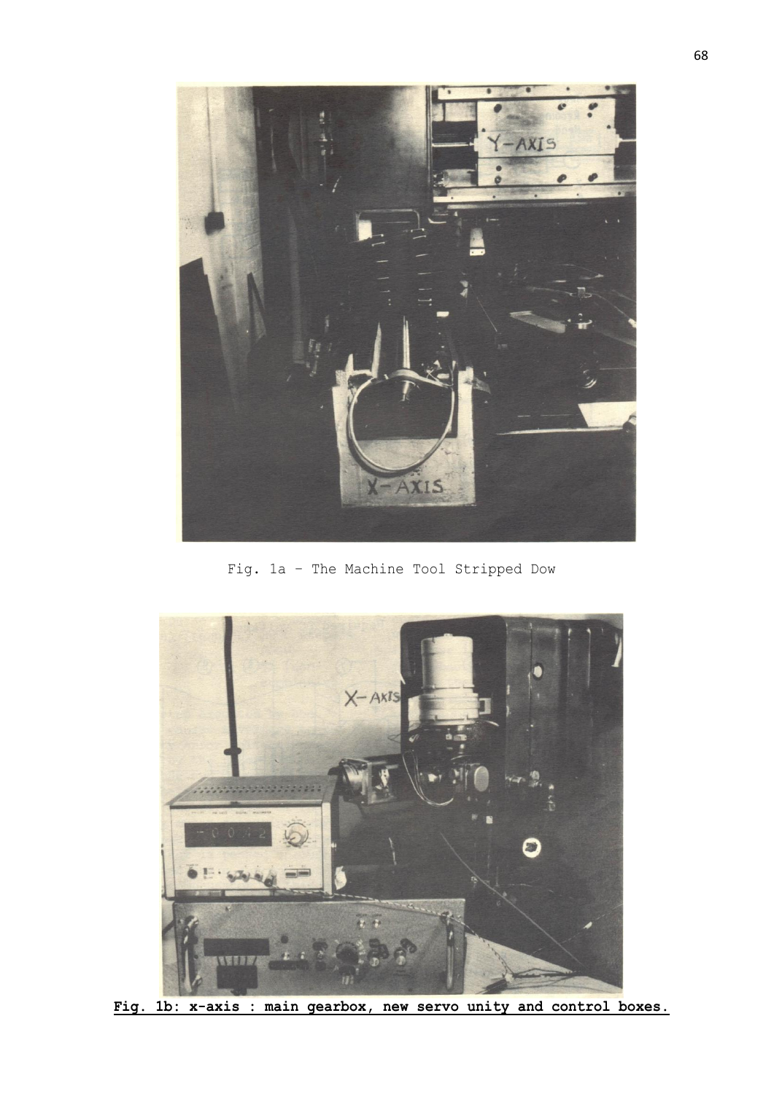

Fig. 1a – The Machine Tool Stripped Dow



**Fig. 1b: x-axis : main gearbox, new servo unity and control boxes.**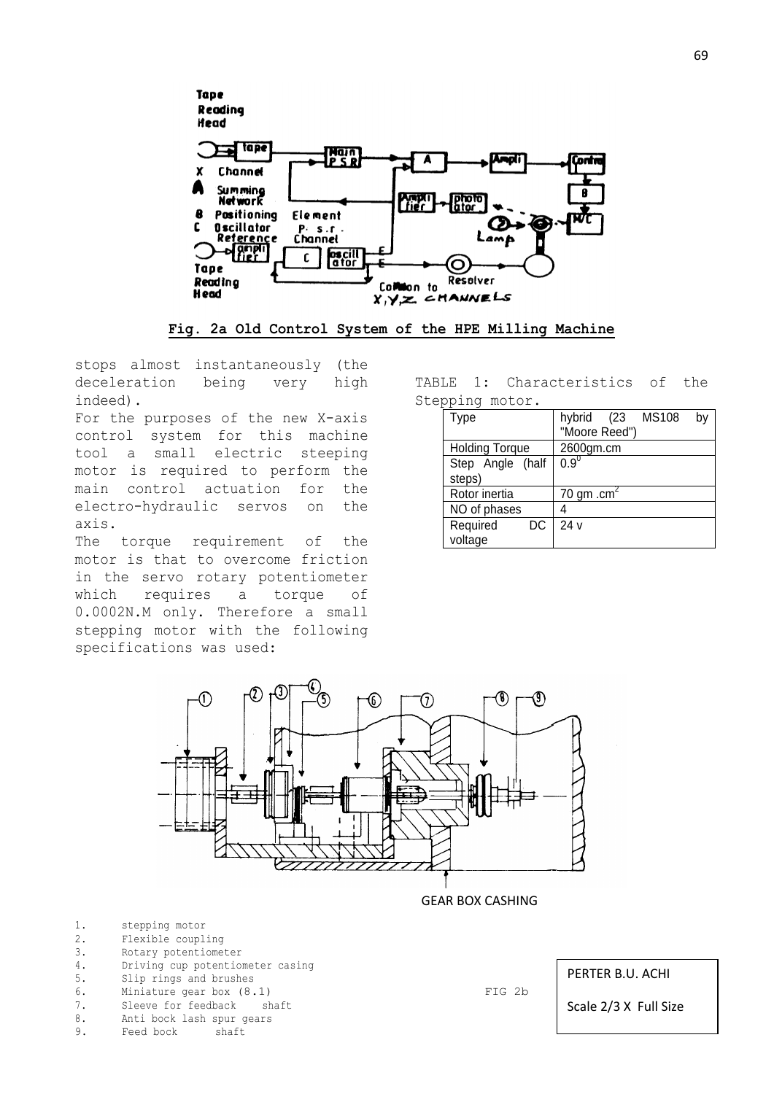

**Fig. 2a Old Control System of the HPE Milling Machine**

stops almost instantaneously (the deceleration being very high indeed).

For the purposes of the new X-axis control system for this machine tool a small electric steeping motor is required to perform the main control actuation for the electro-hydraulic servos on the axis.

The torque requirement of the motor is that to overcome friction in the servo rotary potentiometer which requires a torque of 0.0002N.M only. Therefore a small stepping motor with the following specifications was used:

TABLE 1: Characteristics of the Stepping motor.

| <b>Type</b>           | hybrid (23 MS108<br>b٧ |
|-----------------------|------------------------|
|                       | "Moore Reed")          |
| <b>Holding Torque</b> | 2600gm.cm              |
| Step Angle (half      | $0.9^0$                |
| steps)                |                        |
| Rotor inertia         | 70 gm .cm <sup>2</sup> |
| NO of phases          |                        |
| Required<br>DC.       | 24 v                   |
| voltage               |                        |



GEAR BOX CASHING

- 1. stepping motor
- 2. Flexible coupling
- 3. Rotary potentiometer
- 4. Driving cup potentiometer casing
- 5. Slip rings and brushes
- 6. Miniature gear box (8.1) FIG 2b 7. Sleeve for feedback shaft
- 8. Anti bock lash spur gears
- 9. Feed bock shaft
- 

PERTER B.U. ACHI

Scale 2/3 X Full Size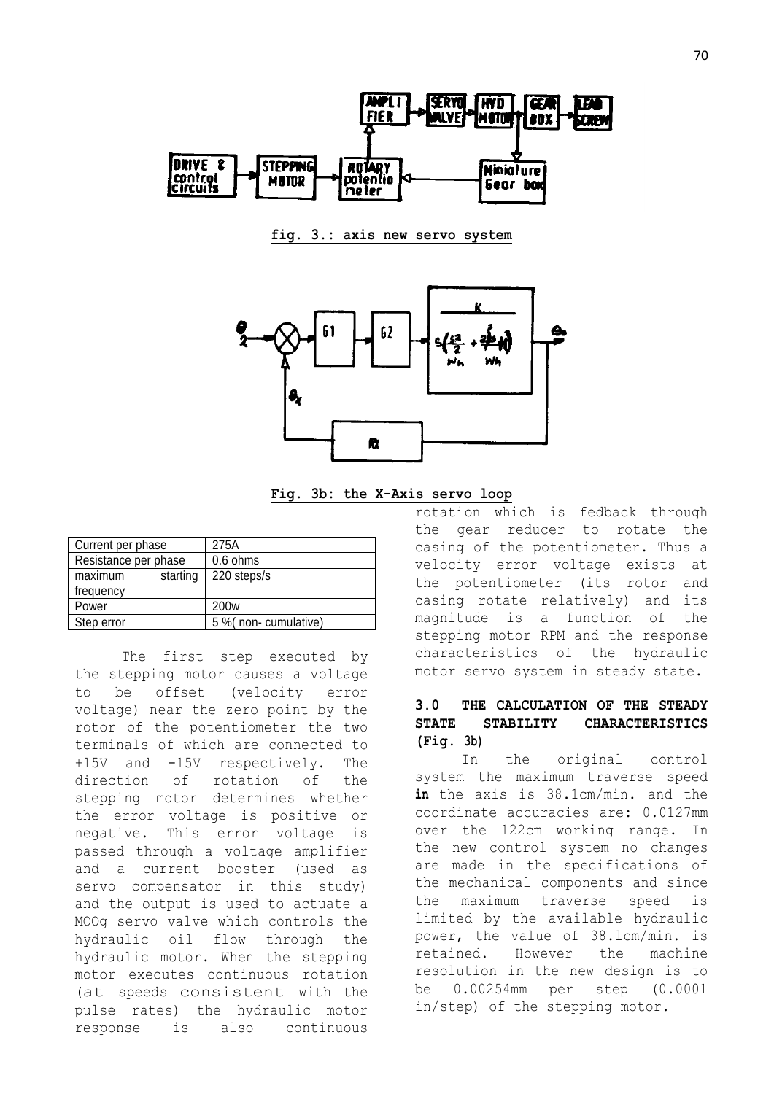

**fig. 3.: axis new servo system**



**Fig. 3b: the X-Axis servo loop**

| 275A                 |  |
|----------------------|--|
| 0.6 ohms             |  |
| 220 steps/s          |  |
|                      |  |
| 200 <sub>w</sub>     |  |
| 5 % (non-cumulative) |  |
|                      |  |

The first step executed by the stepping motor causes a voltage to be offset (velocity error voltage) near the zero point by the rotor of the potentiometer the two terminals of which are connected to +l5V and -15V respectively. The direction of rotation of the stepping motor determines whether the error voltage is positive or negative. This error voltage is passed through a voltage amplifier and a current booster (used as servo compensator in this study) and the output is used to actuate a MOOg servo valve which controls the hydraulic oil flow through the hydraulic motor. When the stepping motor executes continuous rotation (at speeds consistent with the pulse rates) the hydraulic motor response is also continuous

rotation which is fedback through the gear reducer to rotate the casing of the potentiometer. Thus a velocity error voltage exists at the potentiometer (its rotor and casing rotate relatively) and its magnitude is a function of the stepping motor RPM and the response characteristics of the hydraulic motor servo system in steady state.

# **3.0 THE CALCULATION OF THE STEADY STATE STABILITY CHARACTERISTICS (Fig. 3b)**

In the original control system the maximum traverse speed **in** the axis is 38.1cm/min. and the coordinate accuracies are: 0.0127mm over the 122cm working range. In the new control system no changes are made in the specifications of the mechanical components and since the maximum traverse speed is limited by the available hydraulic power, the value of 38.lcm/min. is retained. However the machine resolution in the new design is to be 0.00254mm per step (0.0001 in/step) of the stepping motor.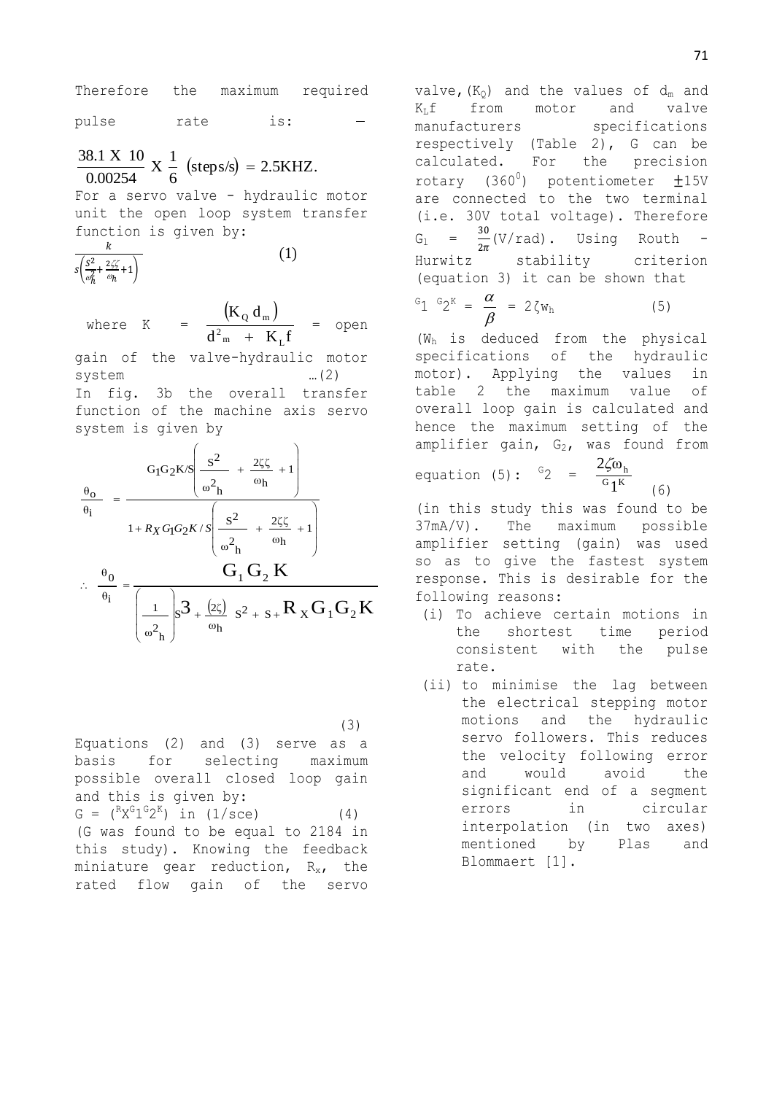Therefore the maximum required pulse rate is:

 $\text{(steps/s)} = 2.5\text{KHz}.$ 6  $X \frac{1}{2}$ 0.00254  $\frac{38.1 \text{ X } 10}{28.8855 \text{ K}} \times \frac{1}{2}$  (steps/s) =

For a servo valve - hydraulic motor unit the open loop system transfer function is given by:

 $(1)$ 

$$
\frac{k}{s\left(\frac{S^2}{\omega_h^2} + \frac{2\zeta\zeta}{\omega_h} + 1\right)}
$$

where K =  $(K_0 d_m)$  $d_{m}^2$  +  $K_{L}$ f  $K_0$  d  $2_{m}$  +  $K_{L}$  $_{\text{Q}}$  u<sub>m</sub>  $^{+}$ = open

gain of the valve-hydraulic motor system …(2) In fig. 3b the overall transfer function of the machine axis servo system is given by

$$
\frac{\theta_{o}}{\theta_{i}} = \frac{G_{1}G_{2}K/S \left(\frac{s^{2}}{\omega_{h}^{2}} + \frac{2\zeta\zeta}{\omega_{h}} + 1\right)}{1 + R_{X}G_{1}G_{2}K/S \left(\frac{s^{2}}{\omega_{h}^{2}} + \frac{2\zeta\zeta}{\omega_{h}} + 1\right)}
$$
  

$$
\therefore \frac{\theta_{0}}{\theta_{i}} = \frac{G_{1}G_{2}K}{\left(\frac{1}{\omega_{h}^{2}}\right)S^{2} + \frac{(2\zeta)}{\omega_{h}}S^{2} + S + R_{X}G_{1}G_{2}K}
$$

 $(3)$ 

Equations (2) and (3) serve as a basis for selecting maximum possible overall closed loop gain and this is given by:  $G = ({}^{R}X^{G}1^{G}2^{K})$  in (1/sce) (4) (G was found to be equal to 2184 in this study). Knowing the feedback miniature gear reduction,  $R_{x}$ , the rated flow gain of the servo

valve,  $(K_0)$  and the values of  $d_m$  and  $K_{L}$ f from motor and valve manufacturers specifications respectively (Table 2), G can be calculated. For the precision rotary  $(360^0)$  potentiometer  $\pm 15V$ are connected to the two terminal (i.e. 30V total voltage). Therefore  $G_1$ 3  $\frac{30}{2\pi}$ (V/rad). Using Routh -Hurwitz stability criterion (equation 3) it can be shown that

$$
{}^G 1 {}^G 2^K = \frac{\alpha}{\beta} = 2 \zeta w_h \tag{5}
$$

(Wh is deduced from the physical specifications of the hydraulic motor). Applying the values in table 2 the maximum value of overall loop gain is calculated and hence the maximum setting of the amplifier gain,  $G_2$ , was found from

equation (5):  ${}^{G_2}$  =  $\frac{25\omega_1}{G_1K}$ h 1  $2\zeta_0$ (6)

(in this study this was found to be 37mA/V). The maximum possible amplifier setting (gain) was used so as to give the fastest system response. This is desirable for the following reasons:

- (i) To achieve certain motions in the shortest time period consistent with the pulse rate.
- (ii) to minimise the lag between the electrical stepping motor motions and the hydraulic servo followers. This reduces the velocity following error and would avoid the significant end of a segment errors in circular interpolation (in two axes) mentioned by Plas and Blommaert [1].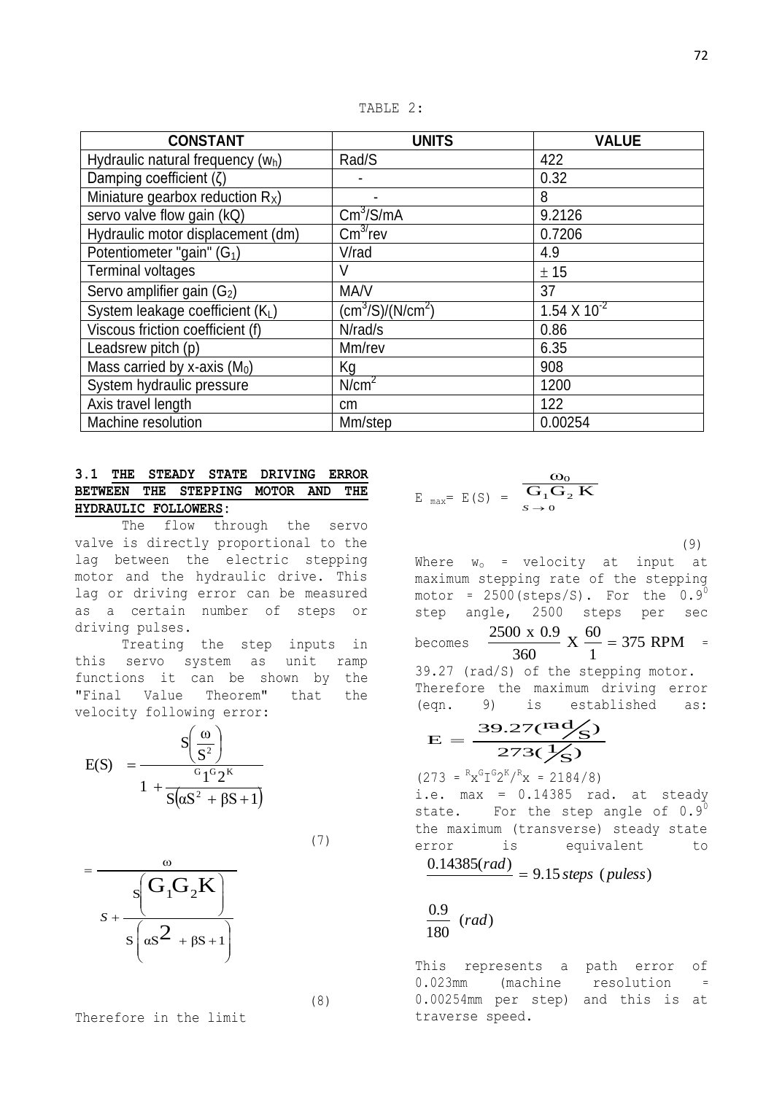TABLE 2:

| <b>CONSTANT</b>                     | <b>UNITS</b>              | <b>VALUE</b>            |
|-------------------------------------|---------------------------|-------------------------|
| Hydraulic natural frequency $(w_h)$ | Rad/S                     | 422                     |
| Damping coefficient $(\zeta)$       |                           | 0.32                    |
| Miniature gearbox reduction $R_x$ ) | $\blacksquare$            | 8                       |
| servo valve flow gain (kQ)          | $\text{Cm}^3/\text{S/mA}$ | 9.2126                  |
| Hydraulic motor displacement (dm)   | $\text{Cm}^{3/}$ rev      | 0.7206                  |
| Potentiometer "gain" $(G_1)$        | V/rad                     | 4.9                     |
| <b>Terminal voltages</b>            |                           | ± 15                    |
| Servo amplifier gain $(G_2)$        | MA/V                      | 37                      |
| System leakage coefficient $(K_L)$  | (cm $^3$ /S)/(N/cm $^2$ ) | 1.54 X 10 <sup>-2</sup> |
| Viscous friction coefficient (f)    | N/rad/s                   | 0.86                    |
| Leadsrew pitch (p)                  | Mm/rev                    | 6.35                    |
| Mass carried by x-axis $(M_0)$      | Кg                        | 908                     |
| System hydraulic pressure           | N/cm <sup>2</sup>         | 1200                    |
| Axis travel length                  | <sub>cm</sub>             | 122                     |
| Machine resolution                  | Mm/step                   | 0.00254                 |

## **3.1 THE STEADY STATE DRIVING ERROR BETWEEN THE STEPPING MOTOR AND THE HYDRAULIC FOLLOWERS:**

The flow through the servo valve is directly proportional to the lag between the electric stepping motor and the hydraulic drive. This lag or driving error can be measured as a certain number of steps or driving pulses.

Treating the step inputs in this servo system as unit ramp functions it can be shown by the "Final Value Theorem" that the velocity following error:

$$
E(S) = \frac{S\left(\frac{\omega}{S^2}\right)}{1 + \frac{\sigma_1 \sigma_2 K}{S(\alpha S^2 + \beta S + 1)}}
$$

$$
(7)
$$

$$
= \frac{\omega}{s\left(G_1G_2K\right)}
$$

$$
s + \frac{s\left(G_1G_2K\right)}{s\left(\omega s^2 + \beta s + 1\right)}
$$

Therefore in the limit

(8)

 $E_{max} = E(S) = \frac{G_0}{G_1 G_2 K}$  $S \rightarrow 0$  $\omega_{0}$ 

(9)

Where  $w_0$  = velocity at input at maximum stepping rate of the stepping motor =  $2500$  (steps/S). For the  $0.9^0$ step angle, 2500 steps per sec becomes 375 RPM 1  $X \frac{60}{4}$ 360  $\frac{2500 \times 0.9}{2500 \times 0.9} \times \frac{60}{1} = 375 \text{ RPM} =$ 

39.27 (rad/S) of the stepping motor. Therefore the maximum driving error (eqn. 9) is established as:

$$
E = \frac{39.27 \text{(rad/s)}}{273 \text{(/s)}}
$$

 $(273 = {^{R}x^{G}I^{G}2^{K}}/{^{R}x} = 2184/8)$ 

i.e.  $max = 0.14385$  rad. at steady state. For the step angle of  $0.9^0$ the maximum (transverse) steady state error is equivalent to

$$
\frac{0.14385(rad)}{0.14385(rad)} = 9.15
$$
 steps (pules)

$$
\frac{0.9}{180} \ (rad)
$$

This represents a path error of 0.023mm (machine resolution = 0.00254mm per step) and this is at traverse speed.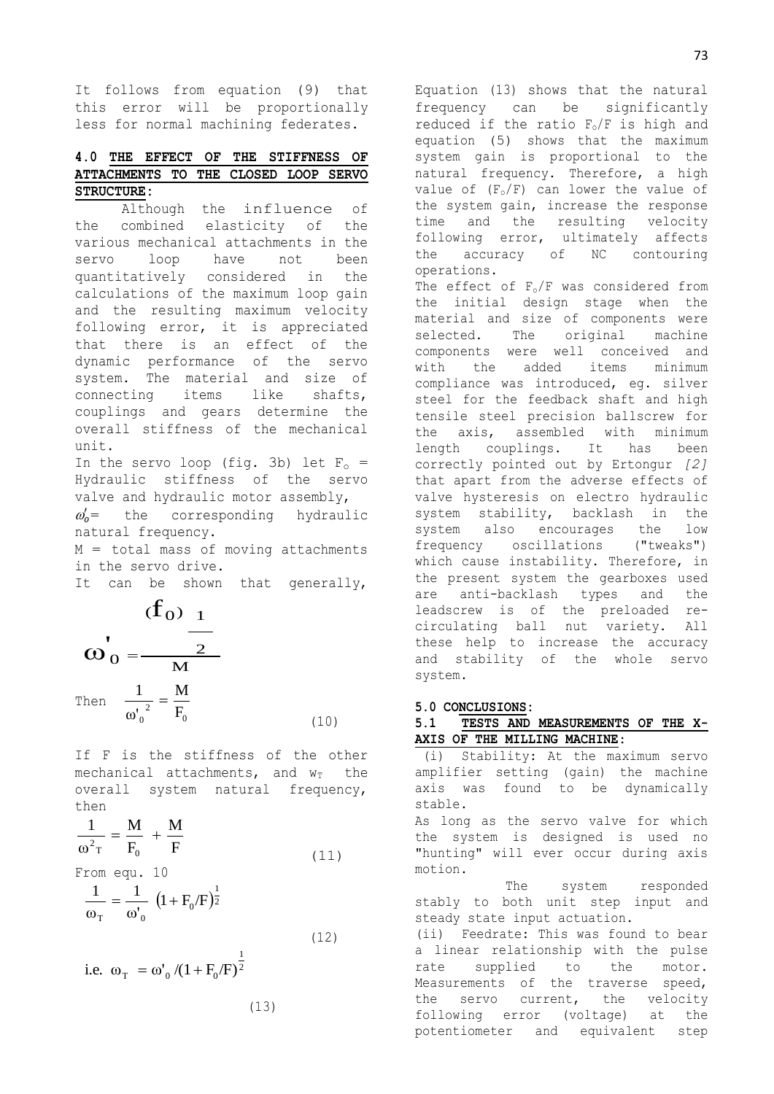It follows from equation (9) that this error will be proportionally less for normal machining federates.

# **4.0 THE EFFECT OF THE STIFFNESS OF ATTACHMENTS TO THE CLOSED LOOP SERVO STRUCTURE:**

Although the influence of the combined elasticity of the various mechanical attachments in the servo loop have not been quantitatively considered in the calculations of the maximum loop gain and the resulting maximum velocity following error, it is appreciated that there is an effect of the dynamic performance of the servo system. The material and size of connecting items like shafts, couplings and gears determine the overall stiffness of the mechanical unit.

In the servo loop (fig. 3b) let  $F_0 =$ Hydraulic stiffness of the servo valve and hydraulic motor assembly,  $\omega_o'$ = the corresponding hydraulic natural frequency.

 $M =$  total mass of moving attachments in the servo drive.

It can be shown that generally,

$$
(f0)1
$$
  

$$
\mathbf{w'}_0 = \frac{2}{M}
$$
  
Then 
$$
\frac{1}{\omega_0^{2}} = \frac{M}{F_0}
$$
 (10)

 $\epsilon$ 

If F is the stiffness of the other mechanical attachments, and  $w_T$  the overall system natural frequency, then

$$
\frac{1}{\omega^2 \tau} = \frac{M}{F_0} + \frac{M}{F}
$$
 (11)

From equ. 10

$$
\frac{1}{\omega_{\rm T}} = \frac{1}{\omega_{\rm 0}'} \left( 1 + \mathbf{F}_{\rm 0}/\mathbf{F} \right)^{\frac{1}{2}}
$$
 (12)

i.e. 
$$
\omega_{\text{T}} = \omega'_{0} / (1 + F_{0}/F)^{\frac{1}{2}}
$$

$$
(13)
$$

Equation (13) shows that the natural frequency can be significantly reduced if the ratio  $F_0/F$  is high and equation (5) shows that the maximum system gain is proportional to the natural frequency. Therefore, a high value of  $(F_0/F)$  can lower the value of the system gain, increase the response time and the resulting velocity following error, ultimately affects the accuracy of NC contouring operations. The effect of  $F_0/F$  was considered from the initial design stage when the material and size of components were selected. The original machine components were well conceived and with the added items minimum compliance was introduced, eg. silver steel for the feedback shaft and high tensile steel precision ballscrew for the axis, assembled with minimum length couplings. It has been correctly pointed out by Ertongur *[2]* that apart from the adverse effects of valve hysteresis on electro hydraulic system stability, backlash in the system also encourages the low frequency oscillations ("tweaks") which cause instability. Therefore, in the present system the gearboxes used are anti-backlash types and the leadscrew is of the preloaded recirculating ball nut variety. All these help to increase the accuracy and stability of the whole servo

## **5.0 CONCLUSIONS:**

system.

**5.1 TESTS AND MEASUREMENTS OF THE X-AXIS OF THE MILLING MACHINE**:

(i) Stability: At the maximum servo amplifier setting (gain) the machine axis was found to be dynamically stable.

As long as the servo valve for which the system is designed is used no "hunting" will ever occur during axis motion.

 The system responded stably to both unit step input and steady state input actuation.

(ii) Feedrate: This was found to bear a linear relationship with the pulse rate supplied to the motor. Measurements of the traverse speed, the servo current, the velocity following error (voltage) at the potentiometer and equivalent step